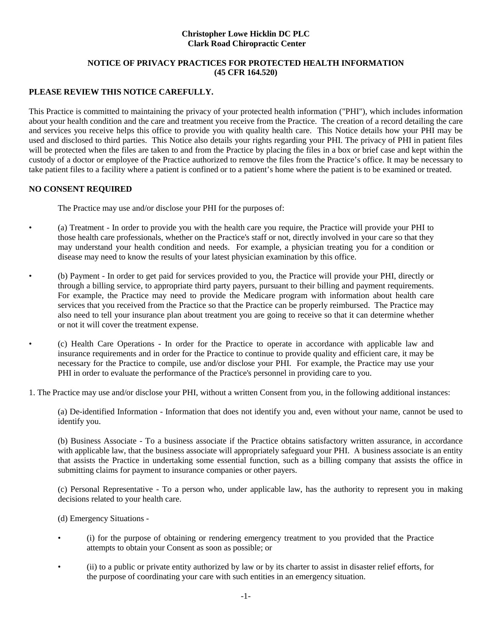#### **Christopher Lowe Hicklin DC PLC Clark Road Chiropractic Center**

### **NOTICE OF PRIVACY PRACTICES FOR PROTECTED HEALTH INFORMATION (45 CFR 164.520)**

# **PLEASE REVIEW THIS NOTICE CAREFULLY.**

This Practice is committed to maintaining the privacy of your protected health information ("PHI"), which includes information about your health condition and the care and treatment you receive from the Practice. The creation of a record detailing the care and services you receive helps this office to provide you with quality health care. This Notice details how your PHI may be used and disclosed to third parties. This Notice also details your rights regarding your PHI. The privacy of PHI in patient files will be protected when the files are taken to and from the Practice by placing the files in a box or brief case and kept within the custody of a doctor or employee of the Practice authorized to remove the files from the Practice's office. It may be necessary to take patient files to a facility where a patient is confined or to a patient's home where the patient is to be examined or treated.

## **NO CONSENT REQUIRED**

The Practice may use and/or disclose your PHI for the purposes of:

- (a) Treatment In order to provide you with the health care you require, the Practice will provide your PHI to those health care professionals, whether on the Practice's staff or not, directly involved in your care so that they may understand your health condition and needs. For example, a physician treating you for a condition or disease may need to know the results of your latest physician examination by this office.
- (b) Payment In order to get paid for services provided to you, the Practice will provide your PHI, directly or through a billing service, to appropriate third party payers, pursuant to their billing and payment requirements. For example, the Practice may need to provide the Medicare program with information about health care services that you received from the Practice so that the Practice can be properly reimbursed. The Practice may also need to tell your insurance plan about treatment you are going to receive so that it can determine whether or not it will cover the treatment expense.
- (c) Health Care Operations In order for the Practice to operate in accordance with applicable law and insurance requirements and in order for the Practice to continue to provide quality and efficient care, it may be necessary for the Practice to compile, use and/or disclose your PHI. For example, the Practice may use your PHI in order to evaluate the performance of the Practice's personnel in providing care to you.
- 1. The Practice may use and/or disclose your PHI, without a written Consent from you, in the following additional instances:

(a) De-identified Information - Information that does not identify you and, even without your name, cannot be used to identify you.

(b) Business Associate - To a business associate if the Practice obtains satisfactory written assurance, in accordance with applicable law, that the business associate will appropriately safeguard your PHI. A business associate is an entity that assists the Practice in undertaking some essential function, such as a billing company that assists the office in submitting claims for payment to insurance companies or other payers.

(c) Personal Representative - To a person who, under applicable law, has the authority to represent you in making decisions related to your health care.

(d) Emergency Situations -

- (i) for the purpose of obtaining or rendering emergency treatment to you provided that the Practice attempts to obtain your Consent as soon as possible; or
- (ii) to a public or private entity authorized by law or by its charter to assist in disaster relief efforts, for the purpose of coordinating your care with such entities in an emergency situation.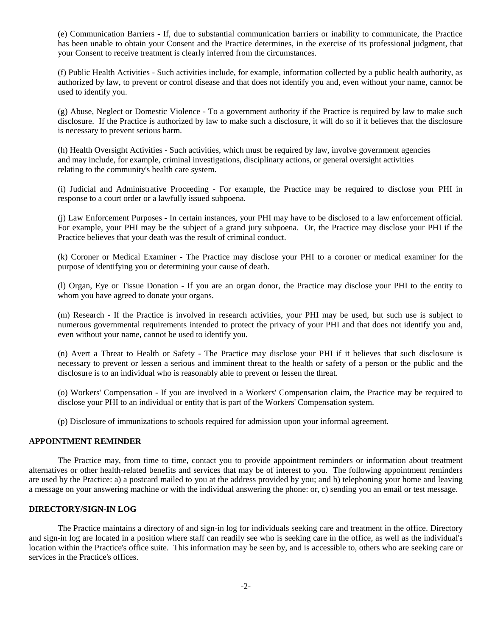(e) Communication Barriers - If, due to substantial communication barriers or inability to communicate, the Practice has been unable to obtain your Consent and the Practice determines, in the exercise of its professional judgment, that your Consent to receive treatment is clearly inferred from the circumstances.

(f) Public Health Activities - Such activities include, for example, information collected by a public health authority, as authorized by law, to prevent or control disease and that does not identify you and, even without your name, cannot be used to identify you.

(g) Abuse, Neglect or Domestic Violence - To a government authority if the Practice is required by law to make such disclosure. If the Practice is authorized by law to make such a disclosure, it will do so if it believes that the disclosure is necessary to prevent serious harm.

(h) Health Oversight Activities - Such activities, which must be required by law, involve government agencies and may include, for example, criminal investigations, disciplinary actions, or general oversight activities relating to the community's health care system.

(i) Judicial and Administrative Proceeding - For example, the Practice may be required to disclose your PHI in response to a court order or a lawfully issued subpoena.

(j) Law Enforcement Purposes - In certain instances, your PHI may have to be disclosed to a law enforcement official. For example, your PHI may be the subject of a grand jury subpoena. Or, the Practice may disclose your PHI if the Practice believes that your death was the result of criminal conduct.

(k) Coroner or Medical Examiner - The Practice may disclose your PHI to a coroner or medical examiner for the purpose of identifying you or determining your cause of death.

(l) Organ, Eye or Tissue Donation - If you are an organ donor, the Practice may disclose your PHI to the entity to whom you have agreed to donate your organs.

(m) Research - If the Practice is involved in research activities, your PHI may be used, but such use is subject to numerous governmental requirements intended to protect the privacy of your PHI and that does not identify you and, even without your name, cannot be used to identify you.

(n) Avert a Threat to Health or Safety - The Practice may disclose your PHI if it believes that such disclosure is necessary to prevent or lessen a serious and imminent threat to the health or safety of a person or the public and the disclosure is to an individual who is reasonably able to prevent or lessen the threat.

(o) Workers' Compensation - If you are involved in a Workers' Compensation claim, the Practice may be required to disclose your PHI to an individual or entity that is part of the Workers' Compensation system.

(p) Disclosure of immunizations to schools required for admission upon your informal agreement.

#### **APPOINTMENT REMINDER**

The Practice may, from time to time, contact you to provide appointment reminders or information about treatment alternatives or other health-related benefits and services that may be of interest to you. The following appointment reminders are used by the Practice: a) a postcard mailed to you at the address provided by you; and b) telephoning your home and leaving a message on your answering machine or with the individual answering the phone: or, c) sending you an email or test message.

#### **DIRECTORY/SIGN-IN LOG**

The Practice maintains a directory of and sign-in log for individuals seeking care and treatment in the office. Directory and sign-in log are located in a position where staff can readily see who is seeking care in the office, as well as the individual's location within the Practice's office suite. This information may be seen by, and is accessible to, others who are seeking care or services in the Practice's offices.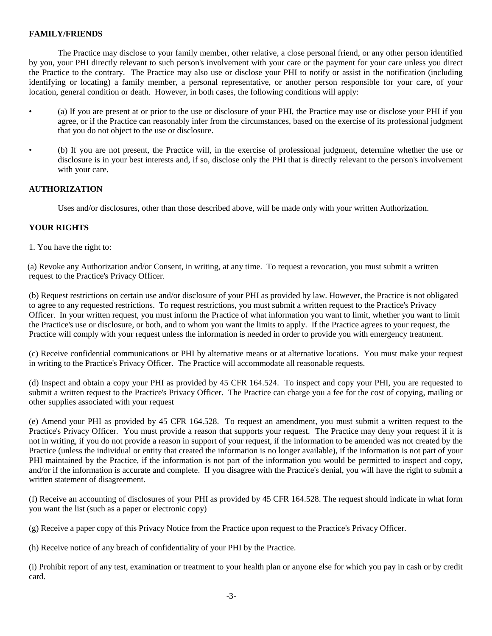# **FAMILY/FRIENDS**

The Practice may disclose to your family member, other relative, a close personal friend, or any other person identified by you, your PHI directly relevant to such person's involvement with your care or the payment for your care unless you direct the Practice to the contrary. The Practice may also use or disclose your PHI to notify or assist in the notification (including identifying or locating) a family member, a personal representative, or another person responsible for your care, of your location, general condition or death. However, in both cases, the following conditions will apply:

- (a) If you are present at or prior to the use or disclosure of your PHI, the Practice may use or disclose your PHI if you agree, or if the Practice can reasonably infer from the circumstances, based on the exercise of its professional judgment that you do not object to the use or disclosure.
- (b) If you are not present, the Practice will, in the exercise of professional judgment, determine whether the use or disclosure is in your best interests and, if so, disclose only the PHI that is directly relevant to the person's involvement with your care.

## **AUTHORIZATION**

Uses and/or disclosures, other than those described above, will be made only with your written Authorization.

## **YOUR RIGHTS**

1. You have the right to:

 (a) Revoke any Authorization and/or Consent, in writing, at any time. To request a revocation, you must submit a written request to the Practice's Privacy Officer.

(b) Request restrictions on certain use and/or disclosure of your PHI as provided by law. However, the Practice is not obligated to agree to any requested restrictions. To request restrictions, you must submit a written request to the Practice's Privacy Officer. In your written request, you must inform the Practice of what information you want to limit, whether you want to limit the Practice's use or disclosure, or both, and to whom you want the limits to apply. If the Practice agrees to your request, the Practice will comply with your request unless the information is needed in order to provide you with emergency treatment.

(c) Receive confidential communications or PHI by alternative means or at alternative locations. You must make your request in writing to the Practice's Privacy Officer. The Practice will accommodate all reasonable requests.

(d) Inspect and obtain a copy your PHI as provided by 45 CFR 164.524. To inspect and copy your PHI, you are requested to submit a written request to the Practice's Privacy Officer. The Practice can charge you a fee for the cost of copying, mailing or other supplies associated with your request

(e) Amend your PHI as provided by 45 CFR 164.528. To request an amendment, you must submit a written request to the Practice's Privacy Officer. You must provide a reason that supports your request. The Practice may deny your request if it is not in writing, if you do not provide a reason in support of your request, if the information to be amended was not created by the Practice (unless the individual or entity that created the information is no longer available), if the information is not part of your PHI maintained by the Practice, if the information is not part of the information you would be permitted to inspect and copy, and/or if the information is accurate and complete. If you disagree with the Practice's denial, you will have the right to submit a written statement of disagreement.

(f) Receive an accounting of disclosures of your PHI as provided by 45 CFR 164.528. The request should indicate in what form you want the list (such as a paper or electronic copy)

(g) Receive a paper copy of this Privacy Notice from the Practice upon request to the Practice's Privacy Officer.

(h) Receive notice of any breach of confidentiality of your PHI by the Practice.

(i) Prohibit report of any test, examination or treatment to your health plan or anyone else for which you pay in cash or by credit card.